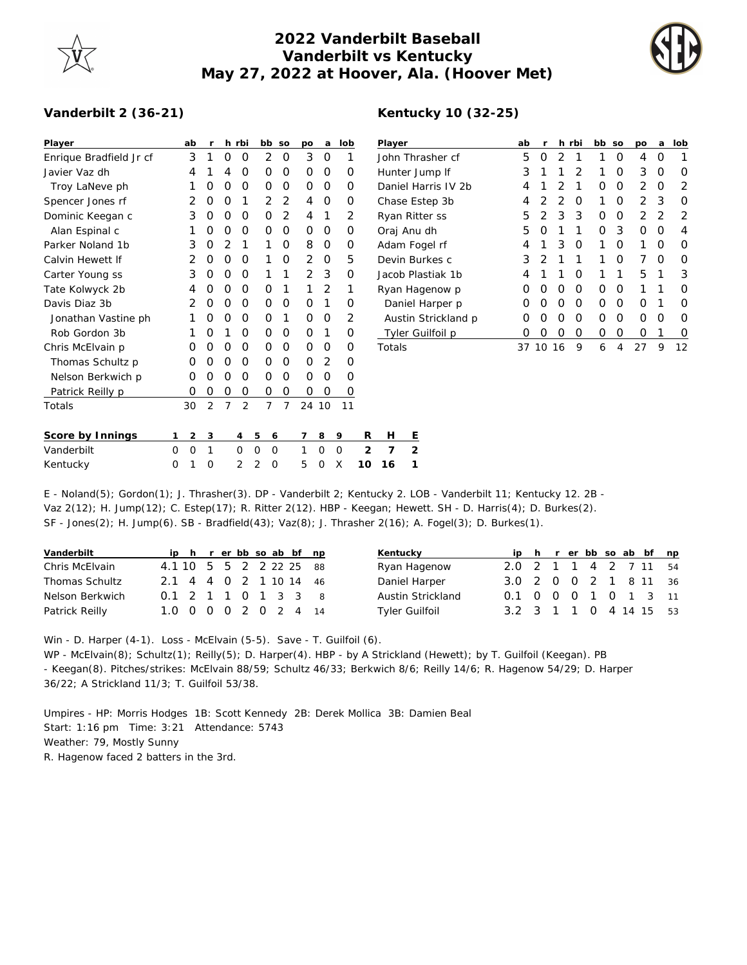

## **2022 Vanderbilt Baseball Vanderbilt vs Kentucky May 27, 2022 at Hoover, Ala. (Hoover Met)**



## **Vanderbilt 2 (36-21)**

| Player                                | ab     | r      |   | h rbi          | bb                           | SO             | po                       | a      | lob    |  |
|---------------------------------------|--------|--------|---|----------------|------------------------------|----------------|--------------------------|--------|--------|--|
| Enrique Bradfield Jr cf               | 3      | 1      | Ω | O              | 2                            | O              | 3                        | Ω      | 1      |  |
| Javier Vaz dh                         | 4      | 1      | 4 | Ο              | Ο                            | O              | 0                        | Ο      | Ω      |  |
| Troy LaNeve ph                        | 1      | Ω      | Ο | O              | Ω                            | O              | Ο                        | Ο      | Ω      |  |
| Spencer Jones rf                      | 2      | Ο      | Ο | 1              | 2                            | 2              | 4                        | 0      | Ω      |  |
| Dominic Keegan c                      | 3      | 0      | 0 | Ο              | O                            | $\overline{2}$ | 4                        | 1      | 2      |  |
| Alan Espinal c                        | 1      | 0      | 0 | Ο              | 0                            | 0              | 0                        | Ο      | Ο      |  |
| Parker Noland 1b                      | 3      | Ο      | 2 | 1              | 1                            | 0              | 8                        | Ο      | Ω      |  |
| Calvin Hewett If                      | 2      | Ο      | Ο | Ω              | 1                            | O              | $\overline{2}$           | Ω      | 5      |  |
| Carter Young ss                       | 3      | Ω      | Ο | Ω              | 1                            | 1              | 2                        | 3      | Ω      |  |
| Tate Kolwyck 2b                       | 4      | Ω      | Ο | Ω              | Ω                            | 1              | 1                        | 2      | 1      |  |
| Davis Diaz 3b                         | 2      | Ο      | Ο | Ο              | 0                            | O              | 0                        | 1      | O      |  |
| Jonathan Vastine ph                   | 1      | Ω      | Ο | O              | 0                            | 1              | 0                        | Ω      | 2      |  |
| Rob Gordon 3b                         | 1      | Ο      | 1 | Ο              | Ω                            | O              | Ο                        | 1      | Ο      |  |
| Chris McElvain p                      | Ω      | O      | Ο | Ω              | Ω                            | O              | Ω                        | Ω      | Ω      |  |
| Thomas Schultz p                      | Ω      | Ω      | Ω | Ω              | Ο                            | O              | Ω                        | 2      | Ω      |  |
| Nelson Berkwich p                     | Ο      | 0      | 0 | Ο              | 0                            | O              | Ο                        | 0      | Ω      |  |
| Patrick Reilly p                      | 0      | 0      | 0 | 0              | 0                            | 0              | 0                        | 0      | Ο      |  |
| Totals                                | 30     | 2      | 7 | 2              | 7                            | 7              | 24                       | 10     | 11     |  |
| Concerteur Landiana<br>$\overline{a}$ | $\sim$ | $\sim$ |   | $\overline{a}$ | $\overline{a}$<br>$\epsilon$ |                | $\overline{\phantom{a}}$ | $\sim$ | $\sim$ |  |

| Player              | ab               | r                |    | h rbi | bb | SO | po | a | lob |
|---------------------|------------------|------------------|----|-------|----|----|----|---|-----|
| John Thrasher cf    | 5                | O                | 2  | 1     | 1  | Ο  | 4  | O | 1   |
| Hunter Jump If      | 3                | 1                | 1  | 2     | 1  | Ο  | 3  | Ο | O   |
| Daniel Harris IV 2b | 4                | 1                | 2  | 1     | Ο  | O  | 2  | O | 2   |
| Chase Estep 3b      | 4                | 2                | 2  | O     | 1  | Ο  | 2  | 3 | ∩   |
| Ryan Ritter ss      | 5                | 2                | 3  | 3     | Ο  | O  | 2  | 2 | 2   |
| Oraj Anu dh         | 5                | Ω                | 1  | 1     | Ω  | 3  | Ω  | Ω | 4   |
| Adam Fogel rf       | 4                | 1                | 3  | O     | 1  | Ο  | 1  | Ο | O   |
| Devin Burkes c      | 3                | 2                | 1  | 1     | 1  | 0  | 7  | Ω | O   |
| Jacob Plastiak 1b   | 4                | 1                | 1  | Ω     | 1  | 1  | 5  | 1 | 3   |
| Ryan Hagenow p      | 0                | O                | Ω  | O     | Ω  | Ο  | 1  | 1 | Ω   |
| Daniel Harper p     | $\left( \right)$ | Ο                | Ω  | O     | Ο  | O  | O  | 1 | O   |
| Austin Strickland p | 0                | Ω                | Ω  | O     | Ω  | Ω  | Ω  | 0 | Ω   |
| Tyler Guilfoil p    | 0                | $\left( \right)$ | Ω  | Ο     | Ο  | Ο  | Ω  | 1 | 0   |
| Totals              | 37               | 10               | 16 | 9     | 6  | 4  | 27 | 9 | 12  |

| Score by Innings<br>123456789 RH E |  |  |  |                           |  |  |  |
|------------------------------------|--|--|--|---------------------------|--|--|--|
| Vanderbilt                         |  |  |  | 0 0 1 0 0 0 1 0 0 2 7 2   |  |  |  |
| Kentucky                           |  |  |  | 0 1 0 2 2 0 5 0 X 10 16 1 |  |  |  |

E - Noland(5); Gordon(1); J. Thrasher(3). DP - Vanderbilt 2; Kentucky 2. LOB - Vanderbilt 11; Kentucky 12. 2B - Vaz 2(12); H. Jump(12); C. Estep(17); R. Ritter 2(12). HBP - Keegan; Hewett. SH - D. Harris(4); D. Burkes(2). SF - Jones(2); H. Jump(6). SB - Bradfield(43); Vaz(8); J. Thrasher 2(16); A. Fogel(3); D. Burkes(1).

| Vanderbilt      |                            |  |  |  | ip h r er bb so ab bf np | Kentucky              |                        |  |  |  | ip h r er bb so ab bf np |  |
|-----------------|----------------------------|--|--|--|--------------------------|-----------------------|------------------------|--|--|--|--------------------------|--|
| Chris McElvain  | 4.1 10 5 5 2 2 2 2 2 2 8 8 |  |  |  |                          | Ryan Hagenow          | 2.0 2 1 1 4 2 7 11 54  |  |  |  |                          |  |
| Thomas Schultz  | 2.1 4 4 0 2 1 10 14 46     |  |  |  |                          | Daniel Harper         | 3.0 2 0 0 2 1 8 11 36  |  |  |  |                          |  |
| Nelson Berkwich | 0.1 2 1 1 0 1 3 3 8        |  |  |  |                          | Austin Strickland     | 0.1 0 0 0 1 0 1 3 11   |  |  |  |                          |  |
| Patrick Reilly  | 1.0 0 0 0 2 0 2 4 14       |  |  |  |                          | <b>Tyler Guilfoil</b> | 3.2 3 1 1 0 4 14 15 53 |  |  |  |                          |  |

Win - D. Harper (4-1). Loss - McElvain (5-5). Save - T. Guilfoil (6). WP - McElvain(8); Schultz(1); Reilly(5); D. Harper(4). HBP - by A Strickland (Hewett); by T. Guilfoil (Keegan). PB - Keegan(8). Pitches/strikes: McElvain 88/59; Schultz 46/33; Berkwich 8/6; Reilly 14/6; R. Hagenow 54/29; D. Harper 36/22; A Strickland 11/3; T. Guilfoil 53/38.

Umpires - HP: Morris Hodges 1B: Scott Kennedy 2B: Derek Mollica 3B: Damien Beal Start: 1:16 pm Time: 3:21 Attendance: 5743 Weather: 79, Mostly Sunny R. Hagenow faced 2 batters in the 3rd.

## **Kentucky 10 (32-25)**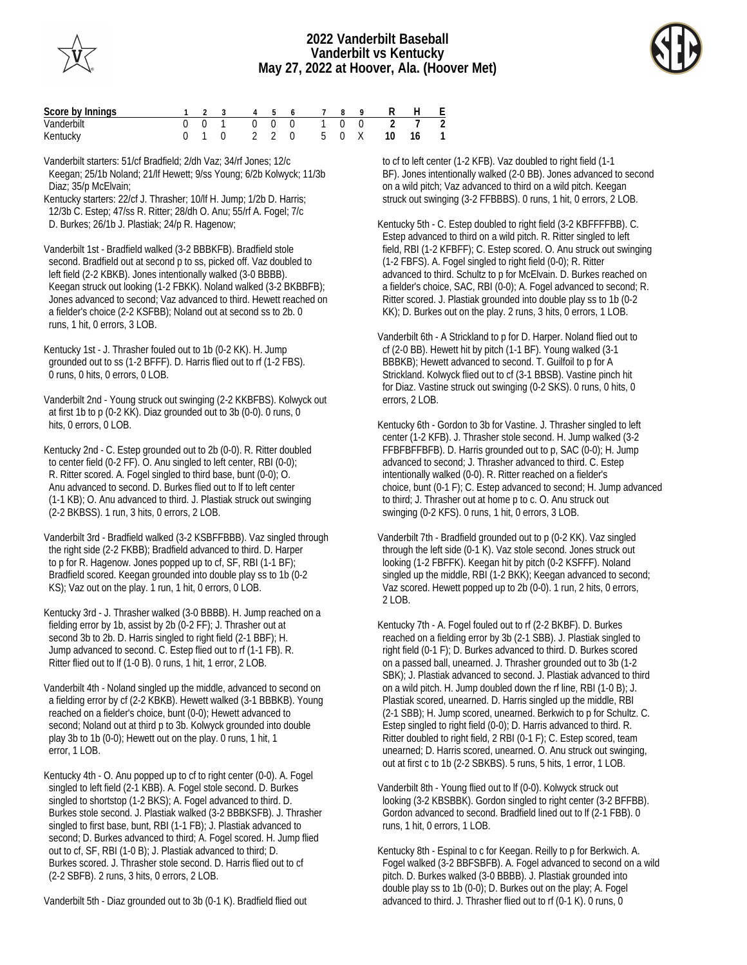



| Score by Innings |  |  |  |  | 1 2 3 4 5 6 7 8 9 R H E   |  |
|------------------|--|--|--|--|---------------------------|--|
| Vanderbilt       |  |  |  |  | 0 0 1 0 0 0 1 0 0 2 7 2   |  |
| Kentucky         |  |  |  |  | 0 1 0 2 2 0 5 0 X 10 16 1 |  |

Vanderbilt starters: 51/cf Bradfield; 2/dh Vaz; 34/rf Jones; 12/c Keegan; 25/1b Noland; 21/lf Hewett; 9/ss Young; 6/2b Kolwyck; 11/3b Diaz; 35/p McElvain;

Kentucky starters: 22/cf J. Thrasher; 10/lf H. Jump; 1/2b D. Harris; 12/3b C. Estep; 47/ss R. Ritter; 28/dh O. Anu; 55/rf A. Fogel; 7/c D. Burkes; 26/1b J. Plastiak; 24/p R. Hagenow;

Vanderbilt 1st - Bradfield walked (3-2 BBBKFB). Bradfield stole second. Bradfield out at second p to ss, picked off. Vaz doubled to left field (2-2 KBKB). Jones intentionally walked (3-0 BBBB). Keegan struck out looking (1-2 FBKK). Noland walked (3-2 BKBBFB); Jones advanced to second; Vaz advanced to third. Hewett reached on a fielder's choice (2-2 KSFBB); Noland out at second ss to 2b. 0 runs, 1 hit, 0 errors, 3 LOB.

Kentucky 1st - J. Thrasher fouled out to 1b (0-2 KK). H. Jump grounded out to ss (1-2 BFFF). D. Harris flied out to rf (1-2 FBS). 0 runs, 0 hits, 0 errors, 0 LOB.

Vanderbilt 2nd - Young struck out swinging (2-2 KKBFBS). Kolwyck out at first 1b to p (0-2 KK). Diaz grounded out to 3b (0-0). 0 runs, 0 hits, 0 errors, 0 LOB.

Kentucky 2nd - C. Estep grounded out to 2b (0-0). R. Ritter doubled to center field (0-2 FF). O. Anu singled to left center, RBI (0-0); R. Ritter scored. A. Fogel singled to third base, bunt (0-0); O. Anu advanced to second. D. Burkes flied out to lf to left center (1-1 KB); O. Anu advanced to third. J. Plastiak struck out swinging (2-2 BKBSS). 1 run, 3 hits, 0 errors, 2 LOB.

Vanderbilt 3rd - Bradfield walked (3-2 KSBFFBBB). Vaz singled through the right side (2-2 FKBB); Bradfield advanced to third. D. Harper to p for R. Hagenow. Jones popped up to cf, SF, RBI (1-1 BF); Bradfield scored. Keegan grounded into double play ss to 1b (0-2 KS); Vaz out on the play. 1 run, 1 hit, 0 errors, 0 LOB.

Kentucky 3rd - J. Thrasher walked (3-0 BBBB). H. Jump reached on a fielding error by 1b, assist by 2b (0-2 FF); J. Thrasher out at second 3b to 2b. D. Harris singled to right field (2-1 BBF); H. Jump advanced to second. C. Estep flied out to rf (1-1 FB). R. Ritter flied out to lf (1-0 B). 0 runs, 1 hit, 1 error, 2 LOB.

Vanderbilt 4th - Noland singled up the middle, advanced to second on a fielding error by cf (2-2 KBKB). Hewett walked (3-1 BBBKB). Young reached on a fielder's choice, bunt (0-0); Hewett advanced to second; Noland out at third p to 3b. Kolwyck grounded into double play 3b to 1b (0-0); Hewett out on the play. 0 runs, 1 hit, 1 error, 1 LOB.

Kentucky 4th - O. Anu popped up to cf to right center (0-0). A. Fogel singled to left field (2-1 KBB). A. Fogel stole second. D. Burkes singled to shortstop (1-2 BKS); A. Fogel advanced to third. D. Burkes stole second. J. Plastiak walked (3-2 BBBKSFB). J. Thrasher singled to first base, bunt, RBI (1-1 FB); J. Plastiak advanced to second; D. Burkes advanced to third; A. Fogel scored. H. Jump flied out to cf, SF, RBI (1-0 B); J. Plastiak advanced to third; D. Burkes scored. J. Thrasher stole second. D. Harris flied out to cf (2-2 SBFB). 2 runs, 3 hits, 0 errors, 2 LOB.

Vanderbilt 5th - Diaz grounded out to 3b (0-1 K). Bradfield flied out

 to cf to left center (1-2 KFB). Vaz doubled to right field (1-1 BF). Jones intentionally walked (2-0 BB). Jones advanced to second on a wild pitch; Vaz advanced to third on a wild pitch. Keegan struck out swinging (3-2 FFBBBS). 0 runs, 1 hit, 0 errors, 2 LOB.

Kentucky 5th - C. Estep doubled to right field (3-2 KBFFFFBB). C. Estep advanced to third on a wild pitch. R. Ritter singled to left field, RBI (1-2 KFBFF); C. Estep scored. O. Anu struck out swinging (1-2 FBFS). A. Fogel singled to right field (0-0); R. Ritter advanced to third. Schultz to p for McElvain. D. Burkes reached on a fielder's choice, SAC, RBI (0-0); A. Fogel advanced to second; R. Ritter scored. J. Plastiak grounded into double play ss to 1b (0-2 KK); D. Burkes out on the play. 2 runs, 3 hits, 0 errors, 1 LOB.

Vanderbilt 6th - A Strickland to p for D. Harper. Noland flied out to cf (2-0 BB). Hewett hit by pitch (1-1 BF). Young walked (3-1 BBBKB); Hewett advanced to second. T. Guilfoil to p for A Strickland. Kolwyck flied out to cf (3-1 BBSB). Vastine pinch hit for Diaz. Vastine struck out swinging (0-2 SKS). 0 runs, 0 hits, 0 errors, 2 LOB.

Kentucky 6th - Gordon to 3b for Vastine. J. Thrasher singled to left center (1-2 KFB). J. Thrasher stole second. H. Jump walked (3-2 FFBFBFFBFB). D. Harris grounded out to p, SAC (0-0); H. Jump advanced to second; J. Thrasher advanced to third. C. Estep intentionally walked (0-0). R. Ritter reached on a fielder's choice, bunt (0-1 F); C. Estep advanced to second; H. Jump advanced to third; J. Thrasher out at home p to c. O. Anu struck out swinging (0-2 KFS). 0 runs, 1 hit, 0 errors, 3 LOB.

Vanderbilt 7th - Bradfield grounded out to p (0-2 KK). Vaz singled through the left side (0-1 K). Vaz stole second. Jones struck out looking (1-2 FBFFK). Keegan hit by pitch (0-2 KSFFF). Noland singled up the middle, RBI (1-2 BKK); Keegan advanced to second; Vaz scored. Hewett popped up to 2b (0-0). 1 run, 2 hits, 0 errors, 2 LOB.

Kentucky 7th - A. Fogel fouled out to rf (2-2 BKBF). D. Burkes reached on a fielding error by 3b (2-1 SBB). J. Plastiak singled to right field (0-1 F); D. Burkes advanced to third. D. Burkes scored on a passed ball, unearned. J. Thrasher grounded out to 3b (1-2 SBK); J. Plastiak advanced to second. J. Plastiak advanced to third on a wild pitch. H. Jump doubled down the rf line, RBI (1-0 B); J. Plastiak scored, unearned. D. Harris singled up the middle, RBI (2-1 SBB); H. Jump scored, unearned. Berkwich to p for Schultz. C. Estep singled to right field (0-0); D. Harris advanced to third. R. Ritter doubled to right field, 2 RBI (0-1 F); C. Estep scored, team unearned; D. Harris scored, unearned. O. Anu struck out swinging, out at first c to 1b (2-2 SBKBS). 5 runs, 5 hits, 1 error, 1 LOB.

Vanderbilt 8th - Young flied out to lf (0-0). Kolwyck struck out looking (3-2 KBSBBK). Gordon singled to right center (3-2 BFFBB). Gordon advanced to second. Bradfield lined out to lf (2-1 FBB). 0 runs, 1 hit, 0 errors, 1 LOB.

Kentucky 8th - Espinal to c for Keegan. Reilly to p for Berkwich. A. Fogel walked (3-2 BBFSBFB). A. Fogel advanced to second on a wild pitch. D. Burkes walked (3-0 BBBB). J. Plastiak grounded into double play ss to 1b (0-0); D. Burkes out on the play; A. Fogel advanced to third. J. Thrasher flied out to rf (0-1 K). 0 runs, 0